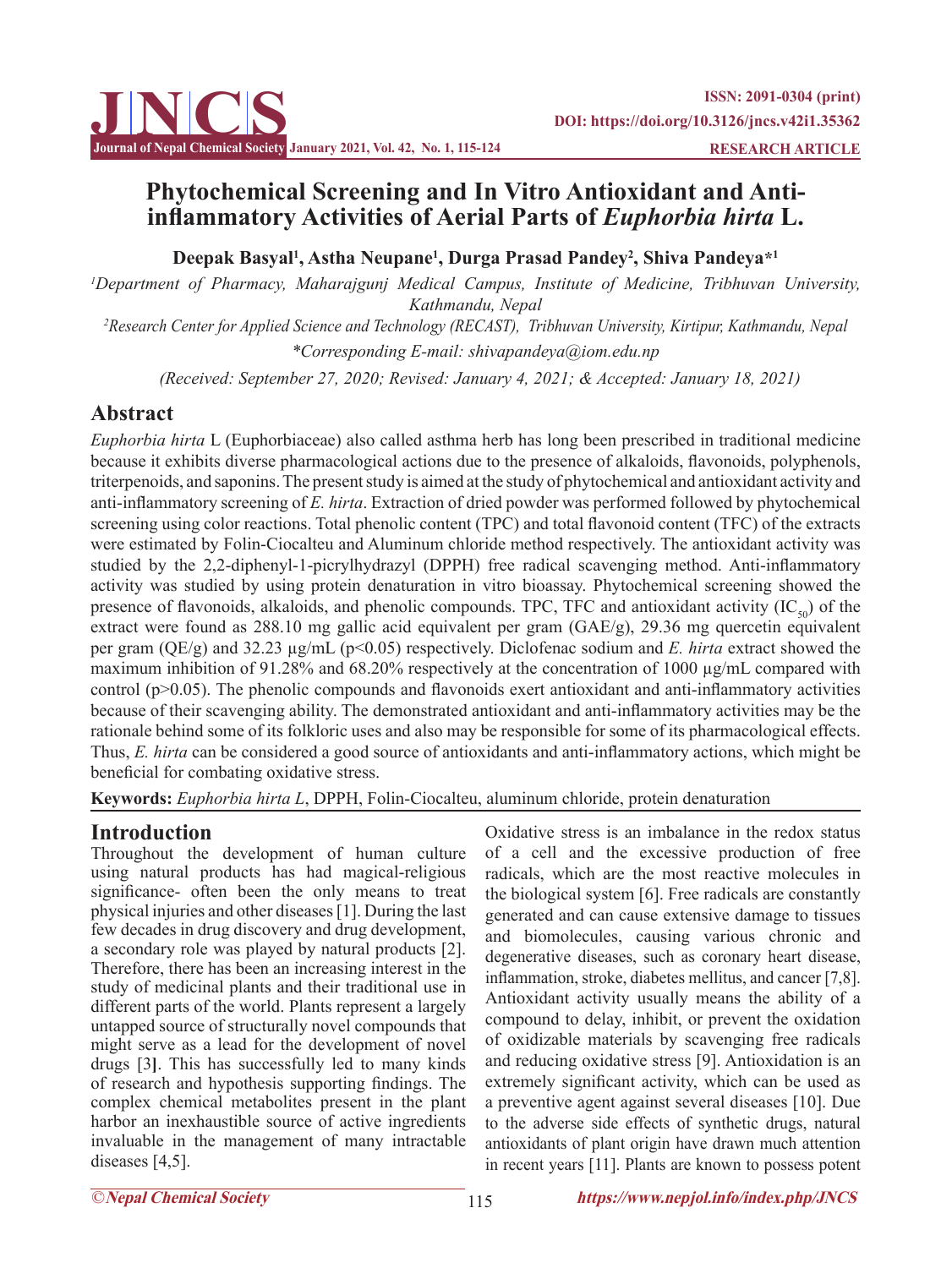

# **Phytochemical Screening and In Vitro Antioxidant and Antiinflammatory Activities of Aerial Parts of** *Euphorbia hirta* **L.**

**Deepak Basyal<sup>1</sup> , Astha Neupane1 , Durga Prasad Pandey<sup>2</sup> , Shiva Pandeya\*1**

*1 Department of Pharmacy, Maharajgunj Medical Campus, Institute of Medicine, Tribhuvan University, Kathmandu, Nepal 2 Research Center for Applied Science and Technology (RECAST), Tribhuvan University, Kirtipur, Kathmandu, Nepal*

*\*Corresponding E-mail: shivapandeya@iom.edu.np*

 *(Received: September 27, 2020; Revised: January 4, 2021; & Accepted: January 18, 2021)*

# **Abstract**

*Euphorbia hirta* L (Euphorbiaceae) also called asthma herb has long been prescribed in traditional medicine because it exhibits diverse pharmacological actions due to the presence of alkaloids, flavonoids, polyphenols, triterpenoids, and saponins. The present study is aimed at the study of phytochemical and antioxidant activity and anti-inflammatory screening of *E. hirta*. Extraction of dried powder was performed followed by phytochemical screening using color reactions. Total phenolic content (TPC) and total flavonoid content (TFC) of the extracts were estimated by Folin-Ciocalteu and Aluminum chloride method respectively. The antioxidant activity was studied by the 2,2-diphenyl-1-picrylhydrazyl (DPPH) free radical scavenging method. Anti-inflammatory activity was studied by using protein denaturation in vitro bioassay. Phytochemical screening showed the presence of flavonoids, alkaloids, and phenolic compounds. TPC, TFC and antioxidant activity  $(IC_{50})$  of the extract were found as 288.10 mg gallic acid equivalent per gram (GAE/g), 29.36 mg quercetin equivalent per gram (QE/g) and 32.23 µg/mL (p<0.05) respectively. Diclofenac sodium and *E. hirta* extract showed the maximum inhibition of 91.28% and 68.20% respectively at the concentration of 1000  $\mu$ g/mL compared with control (p>0.05). The phenolic compounds and flavonoids exert antioxidant and anti-inflammatory activities because of their scavenging ability. The demonstrated antioxidant and anti-inflammatory activities may be the rationale behind some of its folkloric uses and also may be responsible for some of its pharmacological effects. Thus, *E. hirta* can be considered a good source of antioxidants and anti-inflammatory actions, which might be beneficial for combating oxidative stress.

**Keywords:** *Euphorbia hirta L*, DPPH, Folin-Ciocalteu, aluminum chloride, protein denaturation

# **Introduction**

Throughout the development of human culture using natural products has had magical-religious significance- often been the only means to treat physical injuries and other diseases [1]. During the last few decades in drug discovery and drug development, a secondary role was played by natural products [2]. Therefore, there has been an increasing interest in the study of medicinal plants and their traditional use in different parts of the world. Plants represent a largely untapped source of structurally novel compounds that might serve as a lead for the development of novel drugs [3**]**. This has successfully led to many kinds of research and hypothesis supporting findings. The complex chemical metabolites present in the plant harbor an inexhaustible source of active ingredients invaluable in the management of many intractable diseases [4,5].

Oxidative stress is an imbalance in the redox status of a cell and the excessive production of free radicals, which are the most reactive molecules in the biological system [6]. Free radicals are constantly generated and can cause extensive damage to tissues and biomolecules, causing various chronic and degenerative diseases, such as coronary heart disease, inflammation, stroke, diabetes mellitus, and cancer [7,8]. Antioxidant activity usually means the ability of a compound to delay, inhibit, or prevent the oxidation of oxidizable materials by scavenging free radicals and reducing oxidative stress [9]. Antioxidation is an extremely significant activity, which can be used as a preventive agent against several diseases [10]. Due to the adverse side effects of synthetic drugs, natural antioxidants of plant origin have drawn much attention in recent years [11]. Plants are known to possess potent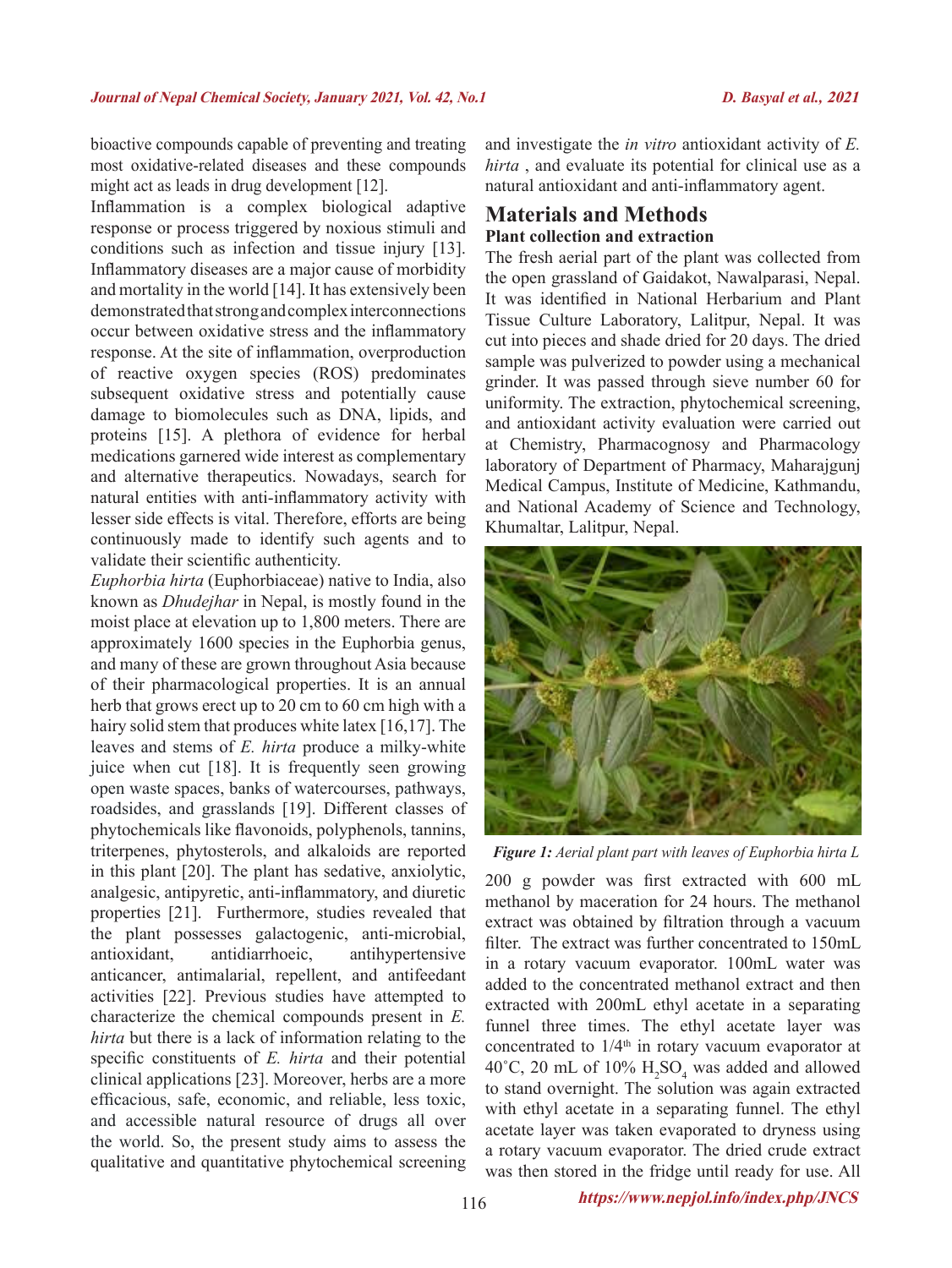bioactive compounds capable of preventing and treating most oxidative-related diseases and these compounds might act as leads in drug development [12].

Inflammation is a complex biological adaptive response or process triggered by noxious stimuli and conditions such as infection and tissue injury [13]. Inflammatory diseases are a major cause of morbidity and mortality in the world [14]. It has extensively been demonstrated that strong and complex interconnections occur between oxidative stress and the inflammatory response. At the site of inflammation, overproduction of reactive oxygen species (ROS) predominates subsequent oxidative stress and potentially cause damage to biomolecules such as DNA, lipids, and proteins [15]. A plethora of evidence for herbal medications garnered wide interest as complementary and alternative therapeutics. Nowadays, search for natural entities with anti-inflammatory activity with lesser side effects is vital. Therefore, efforts are being continuously made to identify such agents and to validate their scientific authenticity.

*Euphorbia hirta* (Euphorbiaceae) native to India, also known as *Dhudejhar* in Nepal, is mostly found in the moist place at elevation up to 1,800 meters. There are approximately 1600 species in the Euphorbia genus, and many of these are grown throughout Asia because of their pharmacological properties. It is an annual herb that grows erect up to 20 cm to 60 cm high with a hairy solid stem that produces white latex [16,17]. The leaves and stems of *E. hirta* produce a milky-white juice when cut [18]. It is frequently seen growing open waste spaces, banks of watercourses, pathways, roadsides, and grasslands [19]. Different classes of phytochemicals like flavonoids, polyphenols, tannins, triterpenes, phytosterols, and alkaloids are reported in this plant [20]. The plant has sedative, anxiolytic, analgesic, antipyretic, anti-inflammatory, and diuretic properties [21]. Furthermore, studies revealed that the plant possesses galactogenic, anti-microbial, antioxidant, antidiarrhoeic, antihypertensive anticancer, antimalarial, repellent, and antifeedant activities [22]. Previous studies have attempted to characterize the chemical compounds present in *E. hirta* but there is a lack of information relating to the specific constituents of *E. hirta* and their potential clinical applications [23]. Moreover, herbs are a more efficacious, safe, economic, and reliable, less toxic, and accessible natural resource of drugs all over the world. So, the present study aims to assess the qualitative and quantitative phytochemical screening

and investigate the *in vitro* antioxidant activity of *E. hirta* , and evaluate its potential for clinical use as a natural antioxidant and anti-inflammatory agent.

## **Materials and Methods Plant collection and extraction**

The fresh aerial part of the plant was collected from the open grassland of Gaidakot, Nawalparasi, Nepal. It was identified in National Herbarium and Plant Tissue Culture Laboratory, Lalitpur, Nepal. It was cut into pieces and shade dried for 20 days. The dried sample was pulverized to powder using a mechanical grinder. It was passed through sieve number 60 for uniformity. The extraction, phytochemical screening, and antioxidant activity evaluation were carried out at Chemistry, Pharmacognosy and Pharmacology laboratory of Department of Pharmacy, Maharajgunj Medical Campus, Institute of Medicine, Kathmandu, and National Academy of Science and Technology, Khumaltar, Lalitpur, Nepal.



*Figure 1: Aerial plant part with leaves of Euphorbia hirta L*

200 g powder was first extracted with 600 mL methanol by maceration for 24 hours. The methanol extract was obtained by filtration through a vacuum filter. The extract was further concentrated to 150mL in a rotary vacuum evaporator. 100mL water was added to the concentrated methanol extract and then extracted with 200mL ethyl acetate in a separating funnel three times. The ethyl acetate layer was concentrated to  $1/4<sup>th</sup>$  in rotary vacuum evaporator at 40°C, 20 mL of 10%  $H_2SO_4$  was added and allowed to stand overnight. The solution was again extracted with ethyl acetate in a separating funnel. The ethyl acetate layer was taken evaporated to dryness using a rotary vacuum evaporator. The dried crude extract was then stored in the fridge until ready for use. All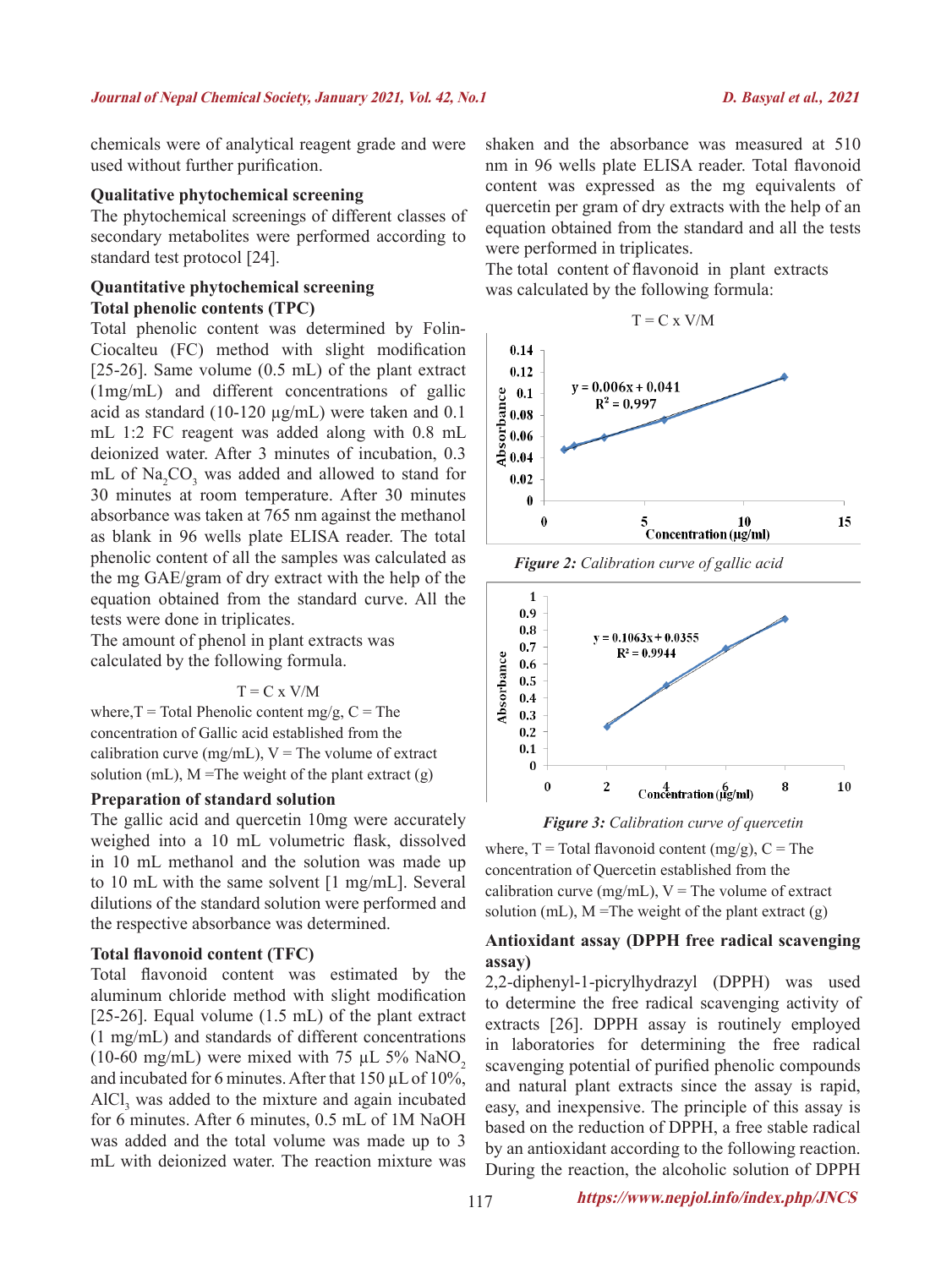chemicals were of analytical reagent grade and were used without further purification.

### **Qualitative phytochemical screening**

The phytochemical screenings of different classes of secondary metabolites were performed according to standard test protocol [24].

## **Quantitative phytochemical screening Total phenolic contents (TPC)**

Total phenolic content was determined by Folin-Ciocalteu (FC) method with slight modification [25-26]. Same volume (0.5 mL) of the plant extract (1mg/mL) and different concentrations of gallic acid as standard (10-120 µg/mL) were taken and 0.1 mL 1:2 FC reagent was added along with 0.8 mL deionized water. After 3 minutes of incubation, 0.3 mL of  $\text{Na}_2\text{CO}_3$  was added and allowed to stand for 30 minutes at room temperature. After 30 minutes absorbance was taken at 765 nm against the methanol as blank in 96 wells plate ELISA reader. The total phenolic content of all the samples was calculated as the mg GAE/gram of dry extract with the help of the equation obtained from the standard curve. All the tests were done in triplicates.

The amount of phenol in plant extracts was calculated by the following formula.

#### $T = C x V/M$

where,  $T = \text{Total Phenolic content mg/g}$ ,  $C = \text{The}$ concentration of Gallic acid established from the calibration curve (mg/mL),  $V =$ The volume of extract solution (mL),  $M = The weight of the plant extract (g)$ 

#### **Preparation of standard solution**

The gallic acid and quercetin 10mg were accurately weighed into a 10 mL volumetric flask, dissolved in 10 mL methanol and the solution was made up to 10 mL with the same solvent [1 mg/mL]. Several dilutions of the standard solution were performed and the respective absorbance was determined.

#### **Total flavonoid content (TFC)**

Total flavonoid content was estimated by the aluminum chloride method with slight modification [25-26]. Equal volume (1.5 mL) of the plant extract (1 mg/mL) and standards of different concentrations (10-60 mg/mL) were mixed with 75  $\mu$ L 5% NaNO<sub>2</sub> and incubated for 6 minutes. After that  $150 \mu L$  of  $10\%$ ,  $AICI<sub>3</sub>$  was added to the mixture and again incubated for 6 minutes. After 6 minutes, 0.5 mL of 1M NaOH was added and the total volume was made up to 3 mL with deionized water. The reaction mixture was

shaken and the absorbance was measured at 510 nm in 96 wells plate ELISA reader. Total flavonoid content was expressed as the mg equivalents of quercetin per gram of dry extracts with the help of an equation obtained from the standard and all the tests were performed in triplicates.

The total content of flavonoid in plant extracts was calculated by the following formula:



*Figure 2: Calibration curve of gallic acid*





where,  $T = Total\$ flavonoid content (mg/g),  $C = The$ concentration of Quercetin established from the calibration curve (mg/mL),  $V =$  The volume of extract solution (mL),  $M =$ The weight of the plant extract (g)

#### **Antioxidant assay (DPPH free radical scavenging assay)**

2,2-diphenyl-1-picrylhydrazyl (DPPH) was used to determine the free radical scavenging activity of extracts [26]. DPPH assay is routinely employed in laboratories for determining the free radical scavenging potential of purified phenolic compounds and natural plant extracts since the assay is rapid, easy, and inexpensive. The principle of this assay is based on the reduction of DPPH, a free stable radical by an antioxidant according to the following reaction. During the reaction, the alcoholic solution of DPPH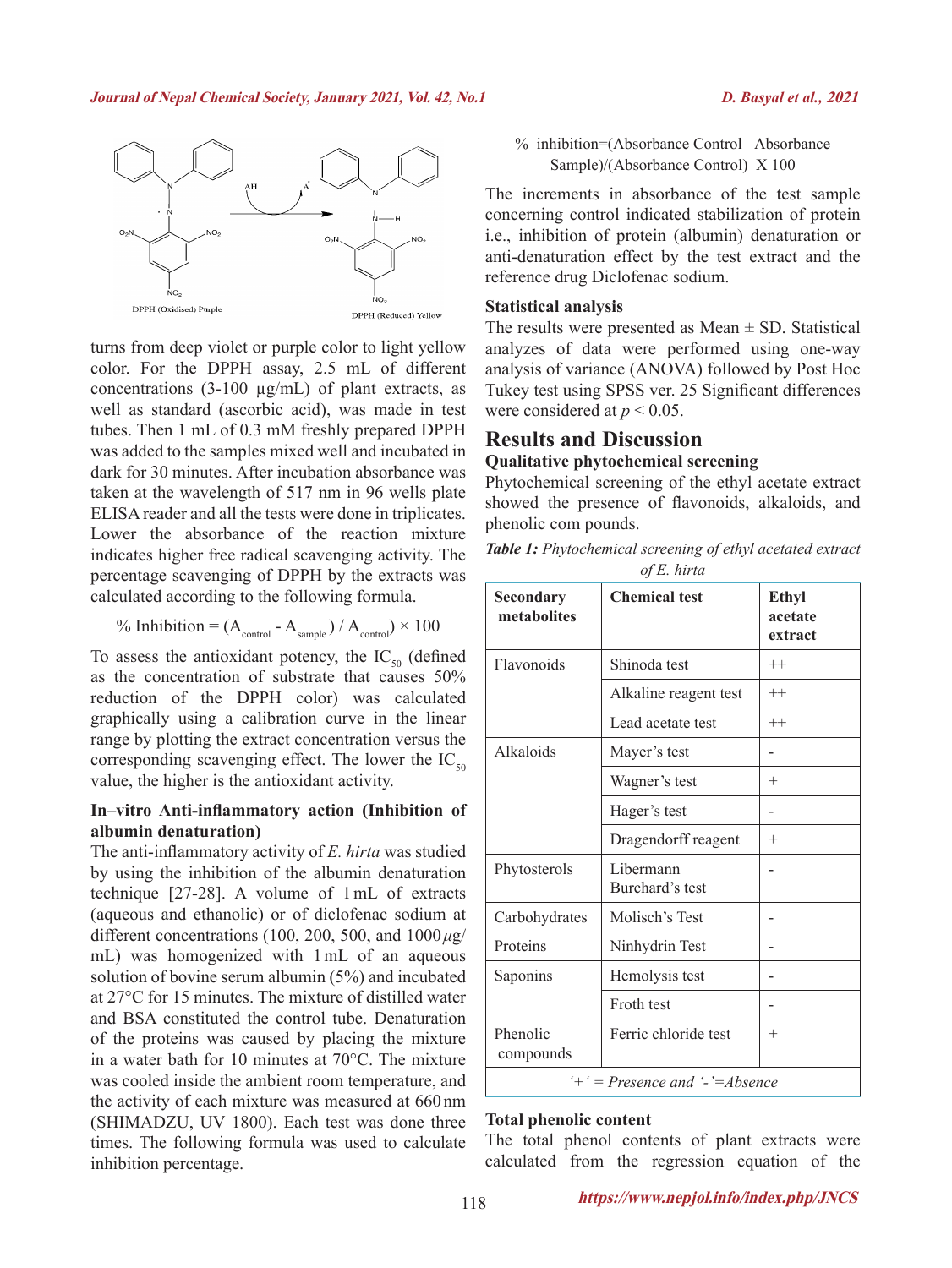

turns from deep violet or purple color to light yellow color. For the DPPH assay, 2.5 mL of different concentrations  $(3-100 \mu g/mL)$  of plant extracts, as well as standard (ascorbic acid), was made in test tubes. Then 1 mL of 0.3 mM freshly prepared DPPH was added to the samples mixed well and incubated in dark for 30 minutes. After incubation absorbance was taken at the wavelength of 517 nm in 96 wells plate ELISA reader and all the tests were done in triplicates. Lower the absorbance of the reaction mixture indicates higher free radical scavenging activity. The percentage scavenging of DPPH by the extracts was calculated according to the following formula.

$$
\% Inhibition = (A_{\text{control}} - A_{\text{sample}}) / A_{\text{control}}) \times 100
$$

To assess the antioxidant potency, the  $IC_{50}$  (defined as the concentration of substrate that causes 50% reduction of the DPPH color) was calculated graphically using a calibration curve in the linear range by plotting the extract concentration versus the corresponding scavenging effect. The lower the  $IC_{50}$ value, the higher is the antioxidant activity.

## **In–vitro Anti-inflammatory action (Inhibition of albumin denaturation)**

The anti-inflammatory activity of *E. hirta* was studied by using the inhibition of the albumin denaturation technique [27-28]. A volume of 1mL of extracts (aqueous and ethanolic) or of diclofenac sodium at different concentrations (100, 200, 500, and 1000*μ*g/ mL) was homogenized with 1mL of an aqueous solution of bovine serum albumin (5%) and incubated at 27°C for 15 minutes. The mixture of distilled water and BSA constituted the control tube. Denaturation of the proteins was caused by placing the mixture in a water bath for 10 minutes at 70°C. The mixture was cooled inside the ambient room temperature, and the activity of each mixture was measured at 660 nm (SHIMADZU, UV 1800). Each test was done three times. The following formula was used to calculate inhibition percentage.

% inhibition=(Absorbance Control –Absorbance Sample)/(Absorbance Control) X 100

The increments in absorbance of the test sample concerning control indicated stabilization of protein i.e., inhibition of protein (albumin) denaturation or anti-denaturation effect by the test extract and the reference drug Diclofenac sodium.

#### **Statistical analysis**

The results were presented as  $Mean \pm SD$ . Statistical analyzes of data were performed using one-way analysis of variance (ANOVA) followed by Post Hoc Tukey test using SPSS ver. 25 Significant differences were considered at  $p < 0.05$ .

## **Results and Discussion Qualitative phytochemical screening**

Phytochemical screening of the ethyl acetate extract showed the presence of flavonoids, alkaloids, and phenolic com pounds.

*Table 1: Phytochemical screening of ethyl acetated extract of E. hirta*

| Secondary<br>metabolites                   | <b>Chemical test</b>         | Ethyl<br>acetate<br>extract |  |
|--------------------------------------------|------------------------------|-----------------------------|--|
| Flavonoids                                 | Shinoda test                 | $^{++}$                     |  |
|                                            | Alkaline reagent test        | $^{++}$                     |  |
|                                            | Lead acetate test            | $^{++}$                     |  |
| Alkaloids                                  | Mayer's test                 |                             |  |
|                                            | Wagner's test                | $^{+}$                      |  |
|                                            | Hager's test                 |                             |  |
|                                            | Dragendorff reagent          | $^{+}$                      |  |
| Phytosterols                               | Libermann<br>Burchard's test |                             |  |
| Carbohydrates                              | Molisch's Test               |                             |  |
| Proteins                                   | Ninhydrin Test               |                             |  |
| Saponins                                   | Hemolysis test               |                             |  |
|                                            | Froth test                   |                             |  |
| Phenolic<br>compounds                      | Ferric chloride test         | $^{+}$                      |  |
| $+$ $\div$ = Presence and $\div$ = Absence |                              |                             |  |

#### **Total phenolic content**

The total phenol contents of plant extracts were calculated from the regression equation of the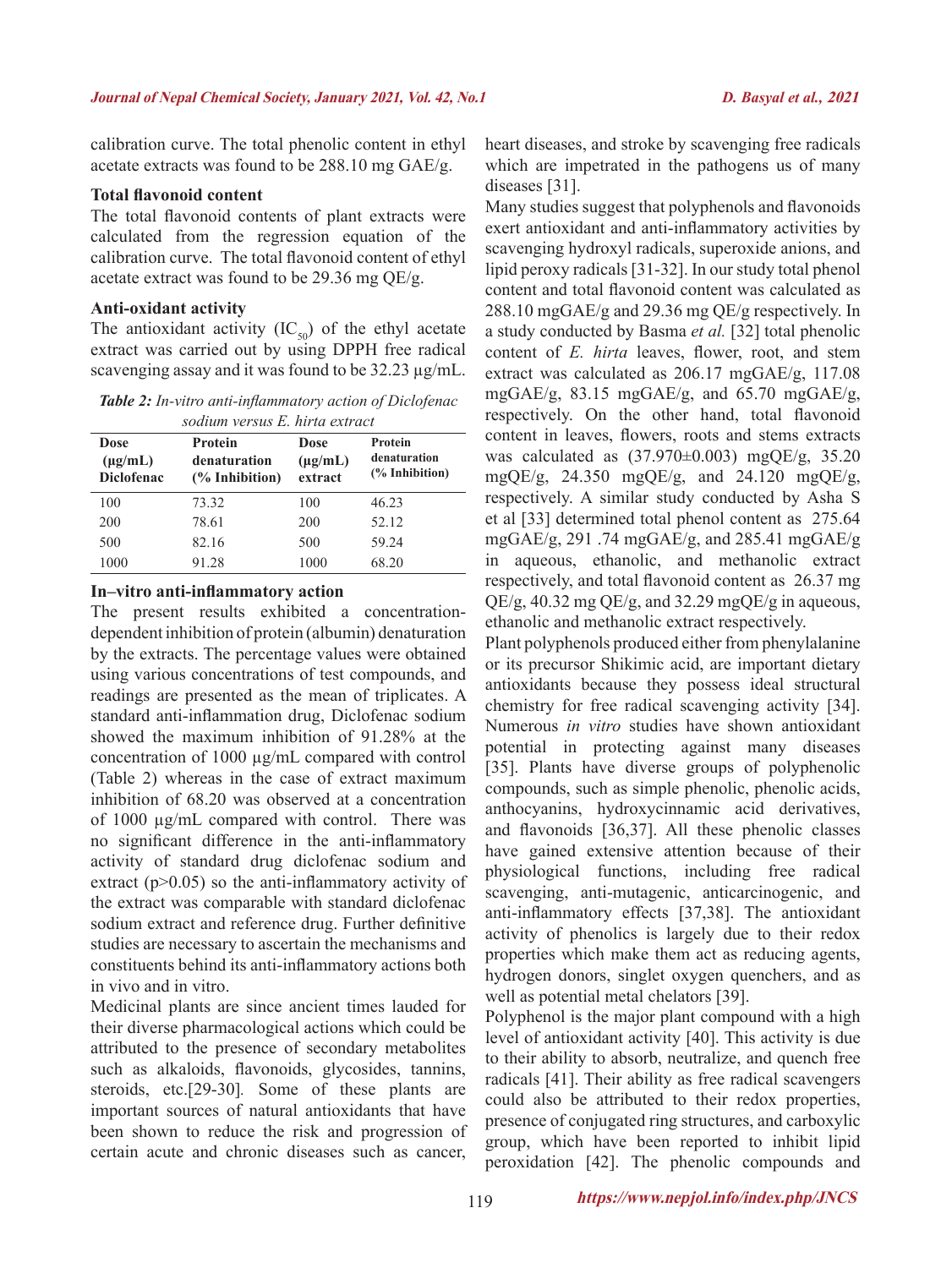calibration curve. The total phenolic content in ethyl acetate extracts was found to be 288.10 mg GAE/g.

## **Total flavonoid content**

The total flavonoid contents of plant extracts were calculated from the regression equation of the calibration curve. The total flavonoid content of ethyl acetate extract was found to be 29.36 mg QE/g.

#### **Anti-oxidant activity**

The antioxidant activity  $(IC_{50})$  of the ethyl acetate extract was carried out by using DPPH free radical scavenging assay and it was found to be 32.23  $\mu$ g/mL.

*Table 2: In-vitro anti-inflammatory action of Diclofenac sodium versus E. hirta extract*

| Dose<br>$(\mu g/mL)$<br><b>Diclofenac</b> | Protein<br>denaturation<br>$\frac{6}{6}$ Inhibition) | <b>Dose</b><br>$(\mu g/mL)$<br>extract | Protein<br>denaturation<br>(% Inhibition) |
|-------------------------------------------|------------------------------------------------------|----------------------------------------|-------------------------------------------|
| 100                                       | 73.32                                                | 100                                    | 46.23                                     |
| 200                                       | 78.61                                                | 200                                    | 52.12                                     |
| 500                                       | 82.16                                                | 500                                    | 59.24                                     |
| 1000                                      | 91.28                                                | 1000                                   | 68.20                                     |

#### **In–vitro anti-inflammatory action**

The present results exhibited a concentrationdependent inhibition of protein (albumin) denaturation by the extracts. The percentage values were obtained using various concentrations of test compounds, and readings are presented as the mean of triplicates. A standard anti-inflammation drug, Diclofenac sodium showed the maximum inhibition of 91.28% at the concentration of 1000 µg/mL compared with control (Table 2) whereas in the case of extract maximum inhibition of 68.20 was observed at a concentration of 1000 µg/mL compared with control. There was no significant difference in the anti-inflammatory activity of standard drug diclofenac sodium and extract ( $p$  $>$ 0.05) so the anti-inflammatory activity of the extract was comparable with standard diclofenac sodium extract and reference drug. Further definitive studies are necessary to ascertain the mechanisms and constituents behind its anti-inflammatory actions both in vivo and in vitro.

Medicinal plants are since ancient times lauded for their diverse pharmacological actions which could be attributed to the presence of secondary metabolites such as alkaloids, flavonoids, glycosides, tannins, steroids, etc.[29-30]*.* Some of these plants are important sources of natural antioxidants that have been shown to reduce the risk and progression of certain acute and chronic diseases such as cancer,

heart diseases, and stroke by scavenging free radicals which are impetrated in the pathogens us of many diseases [31].

Many studies suggest that polyphenols and flavonoids exert antioxidant and anti-inflammatory activities by scavenging hydroxyl radicals, superoxide anions, and lipid peroxy radicals [31-32]. In our study total phenol content and total flavonoid content was calculated as 288.10 mgGAE/g and 29.36 mg QE/g respectively. In a study conducted by Basma *et al.* [32] total phenolic content of *E. hirta* leaves, flower, root, and stem extract was calculated as 206.17 mgGAE/g, 117.08 mgGAE/g, 83.15 mgGAE/g, and 65.70 mgGAE/g, respectively. On the other hand, total flavonoid content in leaves, flowers, roots and stems extracts was calculated as (37.970±0.003) mgQE/g, 35.20 mgQE/g, 24.350 mgQE/g, and 24.120 mgQE/g, respectively. A similar study conducted by Asha S et al [33] determined total phenol content as 275.64 mgGAE/g, 291 .74 mgGAE/g, and 285.41 mgGAE/g in aqueous, ethanolic, and methanolic extract respectively, and total flavonoid content as 26.37 mg QE/g, 40.32 mg QE/g, and 32.29 mgQE/g in aqueous, ethanolic and methanolic extract respectively.

Plant polyphenols produced either from phenylalanine or its precursor Shikimic acid, are important dietary antioxidants because they possess ideal structural chemistry for free radical scavenging activity [34]. Numerous *in vitro* studies have shown antioxidant potential in protecting against many diseases [35]. Plants have diverse groups of polyphenolic compounds, such as simple phenolic, phenolic acids, anthocyanins, hydroxycinnamic acid derivatives, and flavonoids [36,37]. All these phenolic classes have gained extensive attention because of their physiological functions, including free radical scavenging, anti-mutagenic, anticarcinogenic, and anti-inflammatory effects [37,38]. The antioxidant activity of phenolics is largely due to their redox properties which make them act as reducing agents, hydrogen donors, singlet oxygen quenchers, and as well as potential metal chelators [39].

Polyphenol is the major plant compound with a high level of antioxidant activity [40]. This activity is due to their ability to absorb, neutralize, and quench free radicals [41]. Their ability as free radical scavengers could also be attributed to their redox properties, presence of conjugated ring structures, and carboxylic group, which have been reported to inhibit lipid peroxidation [42]. The phenolic compounds and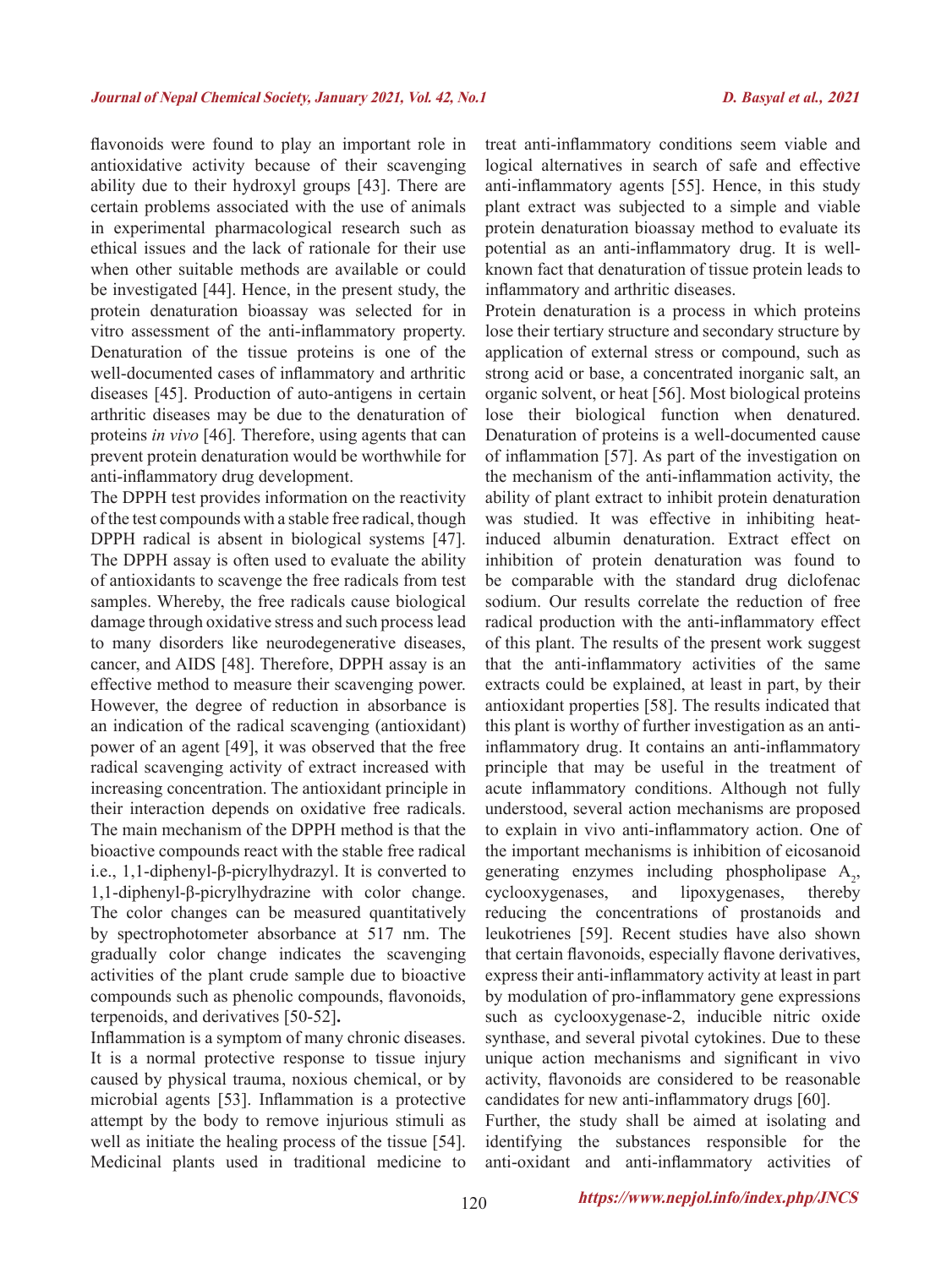flavonoids were found to play an important role in antioxidative activity because of their scavenging ability due to their hydroxyl groups [43]. There are certain problems associated with the use of animals in experimental pharmacological research such as ethical issues and the lack of rationale for their use when other suitable methods are available or could be investigated [44]. Hence, in the present study, the protein denaturation bioassay was selected for in vitro assessment of the anti-inflammatory property. Denaturation of the tissue proteins is one of the well-documented cases of inflammatory and arthritic diseases [45]. Production of auto-antigens in certain arthritic diseases may be due to the denaturation of proteins *in vivo* [46]*.* Therefore, using agents that can prevent protein denaturation would be worthwhile for anti-inflammatory drug development.

The DPPH test provides information on the reactivity of the test compounds with a stable free radical, though DPPH radical is absent in biological systems [47]. The DPPH assay is often used to evaluate the ability of antioxidants to scavenge the free radicals from test samples. Whereby, the free radicals cause biological damage through oxidative stress and such process lead to many disorders like neurodegenerative diseases, cancer, and AIDS [48]. Therefore, DPPH assay is an effective method to measure their scavenging power. However, the degree of reduction in absorbance is an indication of the radical scavenging (antioxidant) power of an agent [49], it was observed that the free radical scavenging activity of extract increased with increasing concentration. The antioxidant principle in their interaction depends on oxidative free radicals. The main mechanism of the DPPH method is that the bioactive compounds react with the stable free radical i.e., 1,1-diphenyl-β-picrylhydrazyl. It is converted to 1,1-diphenyl-β-picrylhydrazine with color change. The color changes can be measured quantitatively by spectrophotometer absorbance at 517 nm. The gradually color change indicates the scavenging activities of the plant crude sample due to bioactive compounds such as phenolic compounds, flavonoids, terpenoids, and derivatives [50-52]**.**

Inflammation is a symptom of many chronic diseases. It is a normal protective response to tissue injury caused by physical trauma, noxious chemical, or by microbial agents [53]. Inflammation is a protective attempt by the body to remove injurious stimuli as well as initiate the healing process of the tissue [54]. Medicinal plants used in traditional medicine to

treat anti-inflammatory conditions seem viable and logical alternatives in search of safe and effective anti-inflammatory agents [55]. Hence, in this study plant extract was subjected to a simple and viable protein denaturation bioassay method to evaluate its potential as an anti-inflammatory drug. It is wellknown fact that denaturation of tissue protein leads to inflammatory and arthritic diseases.

Protein denaturation is a process in which proteins lose their tertiary structure and secondary structure by application of external stress or compound, such as strong acid or base, a concentrated inorganic salt, an organic solvent, or heat [56]. Most biological proteins lose their biological function when denatured. Denaturation of proteins is a well-documented cause of inflammation [57]. As part of the investigation on the mechanism of the anti-inflammation activity, the ability of plant extract to inhibit protein denaturation was studied. It was effective in inhibiting heatinduced albumin denaturation. Extract effect on inhibition of protein denaturation was found to be comparable with the standard drug diclofenac sodium. Our results correlate the reduction of free radical production with the anti-inflammatory effect of this plant. The results of the present work suggest that the anti-inflammatory activities of the same extracts could be explained, at least in part, by their antioxidant properties [58]. The results indicated that this plant is worthy of further investigation as an antiinflammatory drug. It contains an anti-inflammatory principle that may be useful in the treatment of acute inflammatory conditions. Although not fully understood, several action mechanisms are proposed to explain in vivo anti-inflammatory action. One of the important mechanisms is inhibition of eicosanoid generating enzymes including phospholipase  $A_2$ , cyclooxygenases, and lipoxygenases, thereby reducing the concentrations of prostanoids and leukotrienes [59]. Recent studies have also shown that certain flavonoids, especially flavone derivatives, express their anti-inflammatory activity at least in part by modulation of pro-inflammatory gene expressions such as cyclooxygenase-2, inducible nitric oxide synthase, and several pivotal cytokines. Due to these unique action mechanisms and significant in vivo activity, flavonoids are considered to be reasonable candidates for new anti-inflammatory drugs [60].

Further, the study shall be aimed at isolating and identifying the substances responsible for the anti-oxidant and anti-inflammatory activities of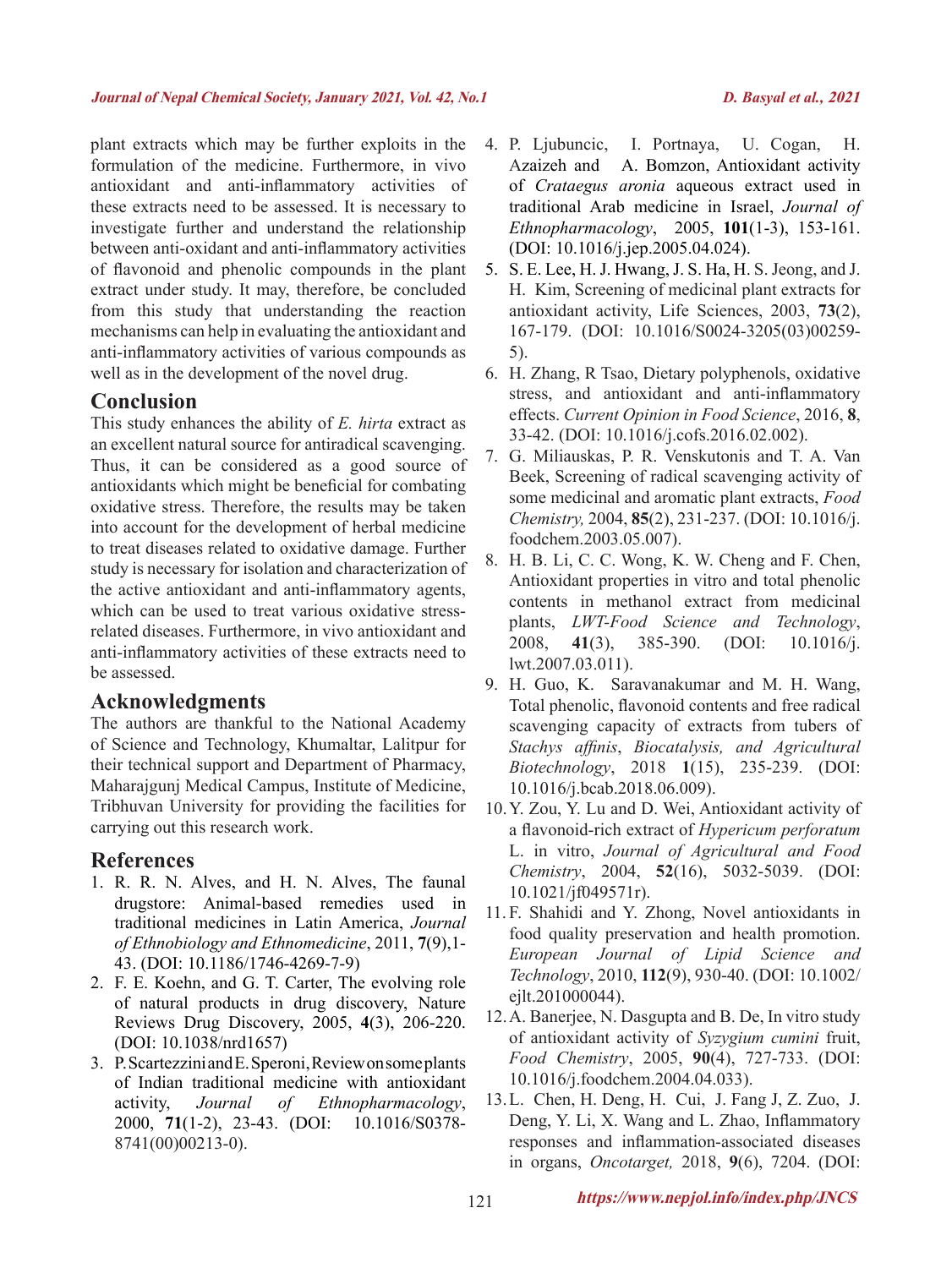plant extracts which may be further exploits in the formulation of the medicine. Furthermore, in vivo antioxidant and anti-inflammatory activities of these extracts need to be assessed. It is necessary to investigate further and understand the relationship between anti-oxidant and anti-inflammatory activities of flavonoid and phenolic compounds in the plant extract under study. It may, therefore, be concluded from this study that understanding the reaction mechanisms can help in evaluating the antioxidant and anti-inflammatory activities of various compounds as well as in the development of the novel drug.

## **Conclusion**

This study enhances the ability of *E. hirta* extract as an excellent natural source for antiradical scavenging. Thus, it can be considered as a good source of antioxidants which might be beneficial for combating oxidative stress. Therefore, the results may be taken into account for the development of herbal medicine to treat diseases related to oxidative damage. Further study is necessary for isolation and characterization of the active antioxidant and anti-inflammatory agents, which can be used to treat various oxidative stressrelated diseases. Furthermore, in vivo antioxidant and anti-inflammatory activities of these extracts need to be assessed.

# **Acknowledgments**

The authors are thankful to the National Academy of Science and Technology, Khumaltar, Lalitpur for their technical support and Department of Pharmacy, Maharajgunj Medical Campus, Institute of Medicine, Tribhuvan University for providing the facilities for carrying out this research work.

# **References**

- 1. R. R. N. Alves, and H. N. Alves, The faunal drugstore: Animal-based remedies used in traditional medicines in Latin America, *Journal of Ethnobiology and Ethnomedicine*, 2011, **7**(9),1- 43. (DOI: 10.1186/1746-4269-7-9)
- 2. F. E. Koehn, and G. T. Carter, The evolving role of natural products in drug discovery, Nature Reviews Drug Discovery, 2005, **4**(3), 206-220. (DOI: 10.1038/nrd1657)
- 3. P. Scartezzini and E. Speroni, Review on some plants of Indian traditional medicine with antioxidant activity, *Journal of Ethnopharmacology*, 2000, **71**(1-2), 23-43. (DOI: 10.1016/S0378- 8741(00)00213-0).
- 4. P. Ljubuncic, I. Portnaya, U. Cogan, H. Azaizeh and A. Bomzon, Antioxidant activity of *Crataegus aronia* aqueous extract used in traditional Arab medicine in Israel, *Journal of Ethnopharmacology*, 2005, **101**(1-3), 153-161. (DOI: 10.1016/j.jep.2005.04.024).
- 5. S. E. Lee, H. J. Hwang, J. S. Ha, H. S. Jeong, and J. H. Kim, Screening of medicinal plant extracts for antioxidant activity, Life Sciences, 2003, **73**(2), 167-179. (DOI: 10.1016/S0024-3205(03)00259- 5).
- 6. H. Zhang, R Tsao, Dietary polyphenols, oxidative stress, and antioxidant and anti-inflammatory effects. *Current Opinion in Food Science*, 2016, **8**, 33-42. (DOI: 10.1016/j.cofs.2016.02.002).
- 7. G. Miliauskas, P. R. Venskutonis and T. A. Van Beek, Screening of radical scavenging activity of some medicinal and aromatic plant extracts, *Food Chemistry,* 2004, **85**(2), 231-237. (DOI: 10.1016/j. foodchem.2003.05.007).
- 8. H. B. Li, C. C. Wong, K. W. Cheng and F. Chen, Antioxidant properties in vitro and total phenolic contents in methanol extract from medicinal plants, *LWT-Food Science and Technology*, 2008, **41**(3), 385-390. (DOI: 10.1016/j. lwt.2007.03.011).
- 9. H. Guo, K. Saravanakumar and M. H. Wang, Total phenolic, flavonoid contents and free radical scavenging capacity of extracts from tubers of *Stachys affinis*, *Biocatalysis, and Agricultural Biotechnology*, 2018 **1**(15), 235-239. (DOI: 10.1016/j.bcab.2018.06.009).
- 10.Y. Zou, Y. Lu and D. Wei, Antioxidant activity of a flavonoid-rich extract of *Hypericum perforatum* L. in vitro, *Journal of Agricultural and Food Chemistry*, 2004, **52**(16), 5032-5039. (DOI: 10.1021/jf049571r).
- 11. F. Shahidi and Y. Zhong, Novel antioxidants in food quality preservation and health promotion. *European Journal of Lipid Science and Technology*, 2010, **112**(9), 930-40. (DOI: 10.1002/ ejlt.201000044).
- 12.A. Banerjee, N. Dasgupta and B. De, In vitro study of antioxidant activity of *Syzygium cumini* fruit, *Food Chemistry*, 2005, **90**(4), 727-733. (DOI: 10.1016/j.foodchem.2004.04.033).
- 13.L. Chen, H. Deng, H. Cui, J. Fang J, Z. Zuo, J. Deng, Y. Li, X. Wang and L. Zhao, Inflammatory responses and inflammation-associated diseases in organs, *Oncotarget,* 2018, **9**(6), 7204. (DOI: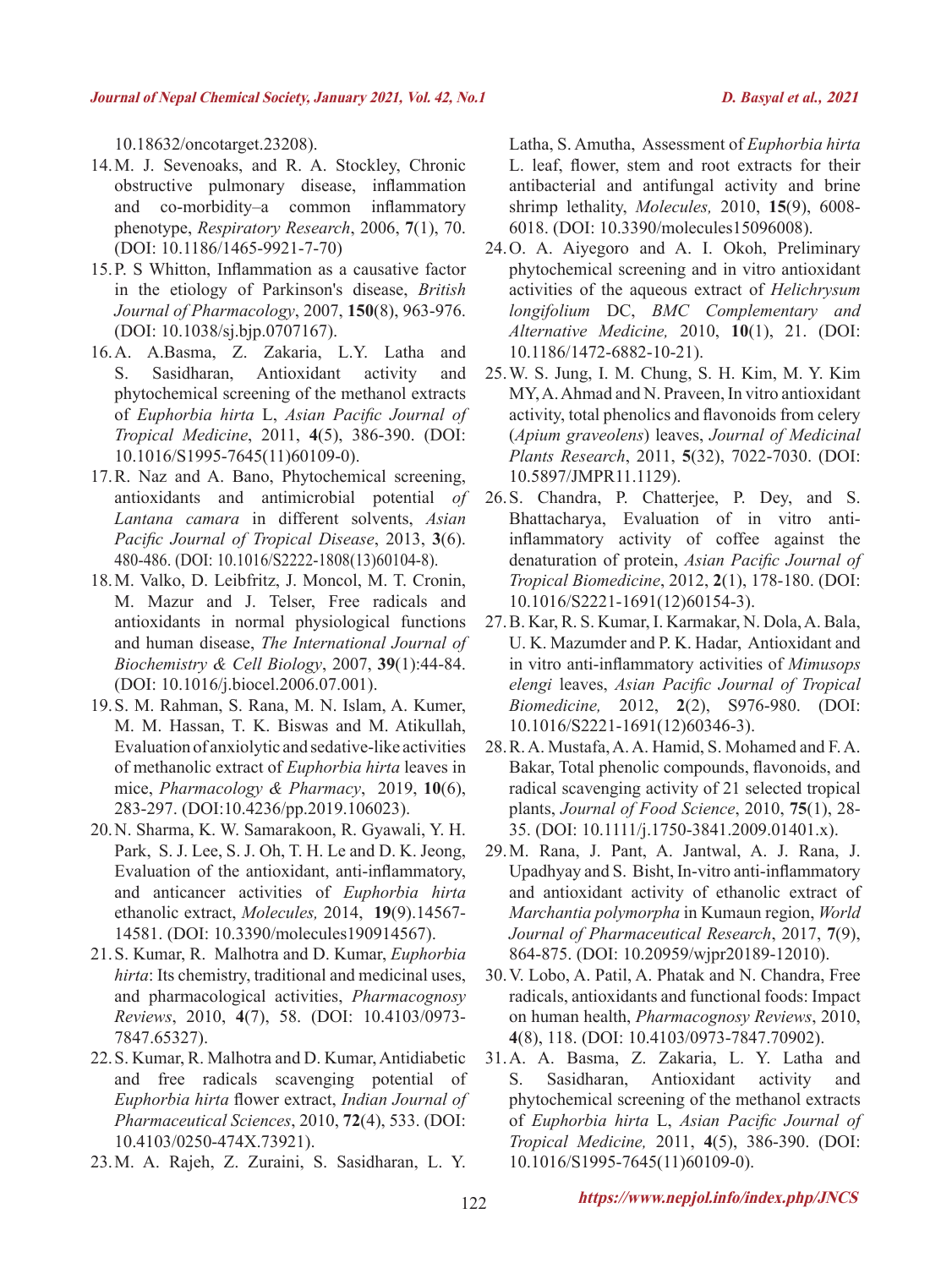10.18632/oncotarget.23208).

- 14.M. J. Sevenoaks, and R. A. Stockley, Chronic obstructive pulmonary disease, inflammation and co-morbidity–a common inflammatory phenotype, *Respiratory Research*, 2006, **7**(1), 70. (DOI: 10.1186/1465-9921-7-70)
- 15.P. S Whitton, Inflammation as a causative factor in the etiology of Parkinson's disease, *British Journal of Pharmacology*, 2007, **150**(8), 963-976. (DOI: 10.1038/sj.bjp.0707167).
- 16.A. A.Basma, Z. Zakaria, L.Y. Latha and S. Sasidharan, Antioxidant activity and phytochemical screening of the methanol extracts of *Euphorbia hirta* L, *Asian Pacific Journal of Tropical Medicine*, 2011, **4**(5), 386-390. (DOI: 10.1016/S1995-7645(11)60109-0).
- 17.R. Naz and A. Bano, Phytochemical screening, antioxidants and antimicrobial potential *of Lantana camara* in different solvents, *Asian Pacific Journal of Tropical Disease*, 2013, **3**(6). 480-486. (DOI: 10.1016/S2222-1808(13)60104-8).
- 18.M. Valko, D. Leibfritz, J. Moncol, M. T. Cronin, M. Mazur and J. Telser, Free radicals and antioxidants in normal physiological functions and human disease, *The International Journal of Biochemistry & Cell Biology*, 2007, **39**(1):44-84. (DOI: 10.1016/j.biocel.2006.07.001).
- 19.S. M. Rahman, S. Rana, M. N. Islam, A. Kumer, M. M. Hassan, T. K. Biswas and M. Atikullah, Evaluation of anxiolytic and sedative-like activities of methanolic extract of *Euphorbia hirta* leaves in mice, *Pharmacology & Pharmacy*, 2019, **10**(6), 283-297. (DOI:10.4236/pp.2019.106023).
- 20.N. Sharma, K. W. Samarakoon, R. Gyawali, Y. H. Park, S. J. Lee, S. J. Oh, T. H. Le and D. K. Jeong, Evaluation of the antioxidant, anti-inflammatory, and anticancer activities of *Euphorbia hirta* ethanolic extract, *Molecules,* 2014, **19**(9).14567- 14581. (DOI: 10.3390/molecules190914567).
- 21.S. Kumar, R. Malhotra and D. Kumar, *Euphorbia hirta*: Its chemistry, traditional and medicinal uses, and pharmacological activities, *Pharmacognosy Reviews*, 2010, **4**(7), 58. (DOI: 10.4103/0973- 7847.65327).
- 22.S. Kumar, R. Malhotra and D. Kumar, Antidiabetic and free radicals scavenging potential of *Euphorbia hirta* flower extract, *Indian Journal of Pharmaceutical Sciences*, 2010, **72**(4), 533. (DOI: 10.4103/0250-474X.73921).
- 23.M. A. Rajeh, Z. Zuraini, S. Sasidharan, L. Y.

Latha, S. Amutha, Assessment of *Euphorbia hirta* L. leaf, flower, stem and root extracts for their antibacterial and antifungal activity and brine shrimp lethality, *Molecules,* 2010, **15**(9), 6008- 6018. (DOI: 10.3390/molecules15096008).

- 24.O. A. Aiyegoro and A. I. Okoh, Preliminary phytochemical screening and in vitro antioxidant activities of the aqueous extract of *Helichrysum longifolium* DC, *BMC Complementary and Alternative Medicine,* 2010, **10**(1), 21. (DOI: 10.1186/1472-6882-10-21).
- 25.W. S. Jung, I. M. Chung, S. H. Kim, M. Y. Kim MY, A. Ahmad and N. Praveen, In vitro antioxidant activity, total phenolics and flavonoids from celery (*Apium graveolens*) leaves, *Journal of Medicinal Plants Research*, 2011, **5**(32), 7022-7030. (DOI: 10.5897/JMPR11.1129).
- 26.S. Chandra, P. Chatterjee, P. Dey, and S. Bhattacharya, Evaluation of in vitro antiinflammatory activity of coffee against the denaturation of protein, *Asian Pacific Journal of Tropical Biomedicine*, 2012, **2**(1), 178-180. (DOI: 10.1016/S2221-1691(12)60154-3).
- 27.B. Kar, R. S. Kumar, I. Karmakar, N. Dola, A. Bala, U. K. Mazumder and P. K. Hadar, Antioxidant and in vitro anti-inflammatory activities of *Mimusops elengi* leaves, *Asian Pacific Journal of Tropical Biomedicine,* 2012, **2**(2), S976-980. (DOI: 10.1016/S2221-1691(12)60346-3).
- 28.R. A. Mustafa, A. A. Hamid, S. Mohamed and F. A. Bakar, Total phenolic compounds, flavonoids, and radical scavenging activity of 21 selected tropical plants, *Journal of Food Science*, 2010, **75**(1), 28- 35. (DOI: 10.1111/j.1750-3841.2009.01401.x).
- 29.M. Rana, J. Pant, A. Jantwal, A. J. Rana, J. Upadhyay and S. Bisht, In-vitro anti-inflammatory and antioxidant activity of ethanolic extract of *Marchantia polymorpha* in Kumaun region, *World Journal of Pharmaceutical Research*, 2017, **7**(9), 864-875. (DOI: 10.20959/wjpr20189-12010).
- 30.V. Lobo, A. Patil, A. Phatak and N. Chandra, Free radicals, antioxidants and functional foods: Impact on human health, *Pharmacognosy Reviews*, 2010, **4**(8), 118. (DOI: 10.4103/0973-7847.70902).
- 31.A. A. Basma, Z. Zakaria, L. Y. Latha and S. Sasidharan, Antioxidant activity and phytochemical screening of the methanol extracts of *Euphorbia hirta* L, *Asian Pacific Journal of Tropical Medicine,* 2011, **4**(5), 386-390. (DOI: 10.1016/S1995-7645(11)60109-0).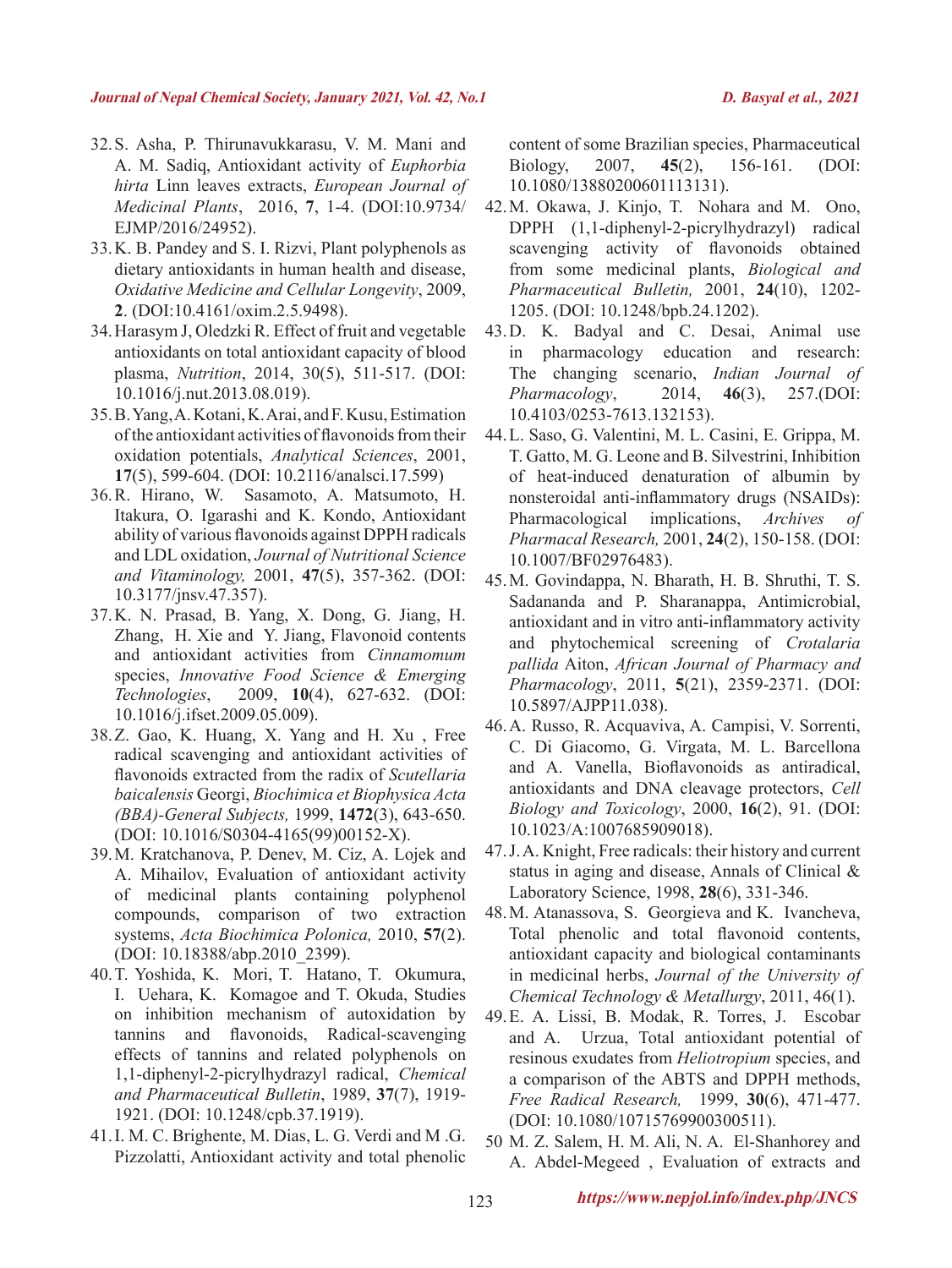- 32.S. Asha, P. Thirunavukkarasu, V. M. Mani and A. M. Sadiq, Antioxidant activity of *Euphorbia hirta* Linn leaves extracts, *European Journal of Medicinal Plants*, 2016, **7**, 1-4. (DOI:10.9734/ EJMP/2016/24952).
- 33.K. B. Pandey and S. I. Rizvi, Plant polyphenols as dietary antioxidants in human health and disease, *Oxidative Medicine and Cellular Longevity*, 2009, **2**. (DOI:10.4161/oxim.2.5.9498).
- 34.Harasym J, Oledzki R. Effect of fruit and vegetable antioxidants on total antioxidant capacity of blood plasma, *Nutrition*, 2014, 30(5), 511-517. (DOI: 10.1016/j.nut.2013.08.019).
- 35.B. Yang, A. Kotani, K. Arai, and F. Kusu, Estimation of the antioxidant activities of flavonoids from their oxidation potentials, *Analytical Sciences*, 2001, **17**(5), 599-604. (DOI: 10.2116/analsci.17.599)
- 36.R. Hirano, W. Sasamoto, A. Matsumoto, H. Itakura, O. Igarashi and K. Kondo, Antioxidant ability of various flavonoids against DPPH radicals and LDL oxidation, *Journal of Nutritional Science and Vitaminology,* 2001, **47**(5), 357-362. (DOI: 10.3177/jnsv.47.357).
- 37.K. N. Prasad, B. Yang, X. Dong, G. Jiang, H. Zhang, H. Xie and Y. Jiang, Flavonoid contents and antioxidant activities from *Cinnamomum* species, *Innovative Food Science & Emerging Technologies*, 2009, **10**(4), 627-632. (DOI: 10.1016/j.ifset.2009.05.009).
- 38.Z. Gao, K. Huang, X. Yang and H. Xu , Free radical scavenging and antioxidant activities of flavonoids extracted from the radix of *Scutellaria baicalensis* Georgi, *Biochimica et Biophysica Acta (BBA)-General Subjects,* 1999, **1472**(3), 643-650. (DOI: 10.1016/S0304-4165(99)00152-X).
- 39.M. Kratchanova, P. Denev, M. Ciz, A. Lojek and A. Mihailov, Evaluation of antioxidant activity of medicinal plants containing polyphenol compounds, comparison of two extraction systems, *Acta Biochimica Polonica,* 2010, **57**(2). (DOI: 10.18388/abp.2010\_2399).
- 40.T. Yoshida, K. Mori, T. Hatano, T. Okumura, I. Uehara, K. Komagoe and T. Okuda, Studies on inhibition mechanism of autoxidation by tannins and flavonoids, Radical-scavenging effects of tannins and related polyphenols on 1,1-diphenyl-2-picrylhydrazyl radical, *Chemical and Pharmaceutical Bulletin*, 1989, **37**(7), 1919- 1921. (DOI: 10.1248/cpb.37.1919).
- 41.I. M. C. Brighente, M. Dias, L. G. Verdi and M .G. Pizzolatti, Antioxidant activity and total phenolic

content of some Brazilian species, Pharmaceutical Biology, 2007, **45**(2), 156-161. (DOI: 10.1080/13880200601113131).

- 42.M. Okawa, J. Kinjo, T. Nohara and M. Ono, DPPH (1,1-diphenyl-2-picrylhydrazyl) radical scavenging activity of flavonoids obtained from some medicinal plants, *Biological and Pharmaceutical Bulletin,* 2001, **24**(10), 1202- 1205. (DOI: 10.1248/bpb.24.1202).
- 43.D. K. Badyal and C. Desai, Animal use in pharmacology education and research: The changing scenario, *Indian Journal of Pharmacology*, 2014, **46**(3), 257.(DOI: 10.4103/0253-7613.132153).
- 44.L. Saso, G. Valentini, M. L. Casini, E. Grippa, M. T. Gatto, M. G. Leone and B. Silvestrini, Inhibition of heat-induced denaturation of albumin by nonsteroidal anti-inflammatory drugs (NSAIDs): Pharmacological implications, *Archives of Pharmacal Research,* 2001, **24**(2), 150-158. (DOI: 10.1007/BF02976483).
- 45.M. Govindappa, N. Bharath, H. B. Shruthi, T. S. Sadananda and P. Sharanappa, Antimicrobial, antioxidant and in vitro anti-inflammatory activity and phytochemical screening of *Crotalaria pallida* Aiton, *African Journal of Pharmacy and Pharmacology*, 2011, **5**(21), 2359-2371. (DOI: 10.5897/AJPP11.038).
- 46.A. Russo, R. Acquaviva, A. Campisi, V. Sorrenti, C. Di Giacomo, G. Virgata, M. L. Barcellona and A. Vanella, Bioflavonoids as antiradical, antioxidants and DNA cleavage protectors, *Cell Biology and Toxicology*, 2000, **16**(2), 91. (DOI: 10.1023/A:1007685909018).
- 47.J. A. Knight, Free radicals: their history and current status in aging and disease, Annals of Clinical & Laboratory Science, 1998, **28**(6), 331-346.
- 48.M. Atanassova, S. Georgieva and K. Ivancheva, Total phenolic and total flavonoid contents, antioxidant capacity and biological contaminants in medicinal herbs, *Journal of the University of Chemical Technology & Metallurgy*, 2011, 46(1).
- 49.E. A. Lissi, B. Modak, R. Torres, J. Escobar and A. Urzua, Total antioxidant potential of resinous exudates from *Heliotropium* species, and a comparison of the ABTS and DPPH methods, *Free Radical Research,* 1999, **30**(6), 471-477. (DOI: 10.1080/10715769900300511).
- 50 M. Z. Salem, H. M. Ali, N. A. El-Shanhorey and A. Abdel-Megeed , Evaluation of extracts and